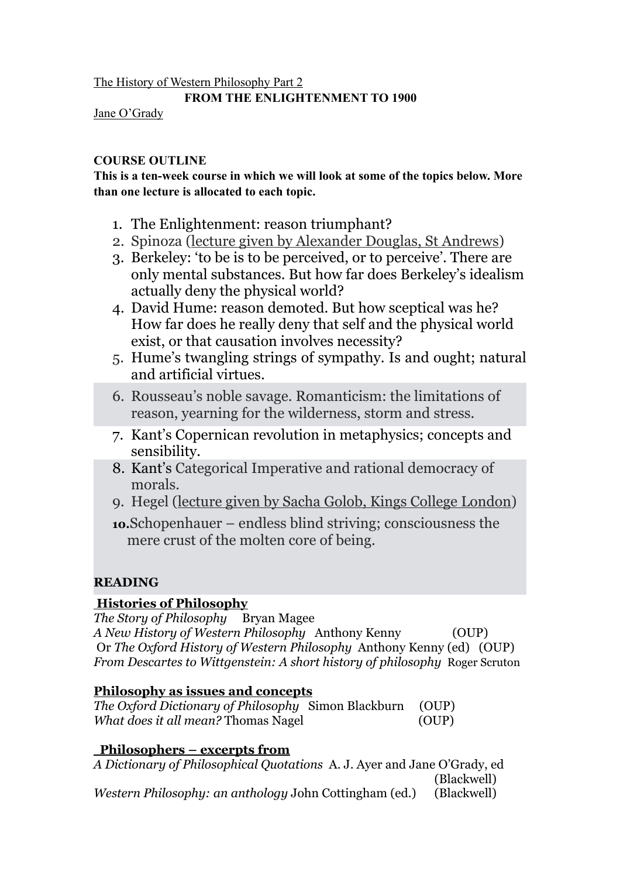The History of Western Philosophy Part 2

#### **FROM THE ENLIGHTENMENT TO 1900**

Jane O'Grady

#### **COURSE OUTLINE**

**This is a ten-week course in which we will look at some of the topics below. More than one lecture is allocated to each topic.** 

- 1. The Enlightenment: reason triumphant?
- 2. Spinoza (lecture given by Alexander Douglas, St Andrews)
- 3. Berkeley: 'to be is to be perceived, or to perceive'. There are only mental substances. But how far does Berkeley's idealism actually deny the physical world?
- 4. David Hume: reason demoted. But how sceptical was he? How far does he really deny that self and the physical world exist, or that causation involves necessity?
- 5. Hume's twangling strings of sympathy. Is and ought; natural and artificial virtues.
- 6. Rousseau's noble savage. Romanticism: the limitations of reason, yearning for the wilderness, storm and stress.
- 7. Kant's Copernican revolution in metaphysics; concepts and sensibility.
- 8. Kant's Categorical Imperative and rational democracy of morals.
- 9. Hegel (lecture given by Sacha Golob, Kings College London)
- **10.**Schopenhauer endless blind striving; consciousness the mere crust of the molten core of being.

# **READING**

# **Histories of Philosophy**

*The Story of Philosophy* Bryan Magee *A New History of Western Philosophy* Anthony Kenny (OUP) Or *The Oxford History of Western Philosophy* Anthony Kenny (ed) (OUP) *From Descartes to Wittgenstein: A short history of philosophy* Roger Scruton

# **Philosophy as issues and concepts**

*The Oxford Dictionary of Philosophy* Simon Blackburn(OUP) *What does it all mean?* Thomas Nagel (OUP)

# **Philosophers – excerpts from**

*A Dictionary of Philosophical Quotations* A. J. Ayer and Jane O'Grady, ed (Blackwell) *Western Philosophy: an anthology* John Cottingham (ed.) (Blackwell)